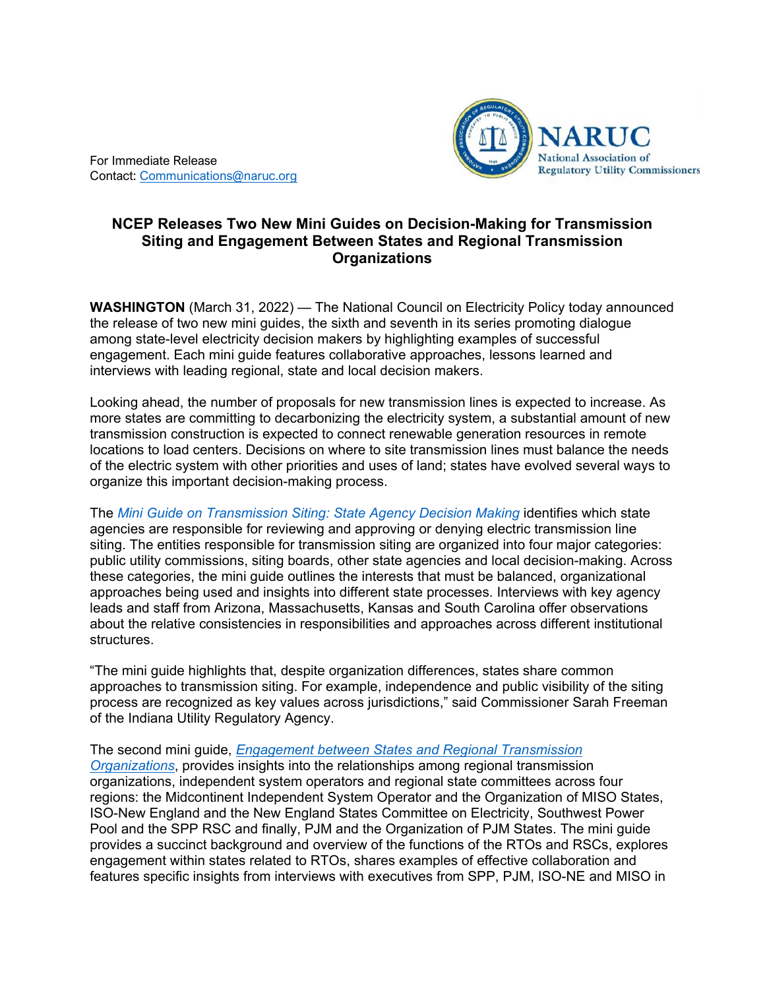

For Immediate Release Contact: [Communications@naruc.org](mailto:Communications@naruc.org)

## **NCEP Releases Two New Mini Guides on Decision-Making for Transmission Siting and Engagement Between States and Regional Transmission Organizations**

**WASHINGTON** (March 31, 2022) — The National Council on Electricity Policy today announced the release of two new mini guides, the sixth and seventh in its series promoting dialogue among state-level electricity decision makers by highlighting examples of successful engagement. Each mini guide features collaborative approaches, lessons learned and interviews with leading regional, state and local decision makers.

Looking ahead, the number of proposals for new transmission lines is expected to increase. As more states are committing to decarbonizing the electricity system, a substantial amount of new transmission construction is expected to connect renewable generation resources in remote locations to load centers. Decisions on where to site transmission lines must balance the needs of the electric system with other priorities and uses of land; states have evolved several ways to organize this important decision-making process.

The *[Mini Guide on Transmission Siting: State Agency Decision Making](https://pubs.naruc.org/pub/C1FA4F15-1866-DAAC-99FB-F832DD7ECFF0)* identifies which state agencies are responsible for reviewing and approving or denying electric transmission line siting. The entities responsible for transmission siting are organized into four major categories: public utility commissions, siting boards, other state agencies and local decision-making. Across these categories, the mini guide outlines the interests that must be balanced, organizational approaches being used and insights into different state processes. Interviews with key agency leads and staff from Arizona, Massachusetts, Kansas and South Carolina offer observations about the relative consistencies in responsibilities and approaches across different institutional structures.

"The mini guide highlights that, despite organization differences, states share common approaches to transmission siting. For example, independence and public visibility of the siting process are recognized as key values across jurisdictions," said Commissioner Sarah Freeman of the Indiana Utility Regulatory Agency.

The second mini guide, *[Engagement between States and Regional Transmission](https://pubs.naruc.org/pub/6C1AA0FC-1866-DAAC-99FB-993D01E9FDA5)  [Organizations](https://pubs.naruc.org/pub/6C1AA0FC-1866-DAAC-99FB-993D01E9FDA5)*, provides insights into the relationships among regional transmission organizations, independent system operators and regional state committees across four regions: the Midcontinent Independent System Operator and the Organization of MISO States, ISO-New England and the New England States Committee on Electricity, Southwest Power Pool and the SPP RSC and finally, PJM and the Organization of PJM States. The mini guide provides a succinct background and overview of the functions of the RTOs and RSCs, explores engagement within states related to RTOs, shares examples of effective collaboration and features specific insights from interviews with executives from SPP, PJM, ISO-NE and MISO in